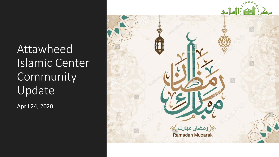**Attawheed** Islamic Center Community Update

April 24, 2020

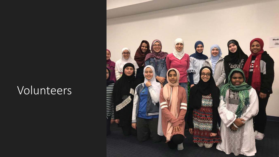## Volunteers

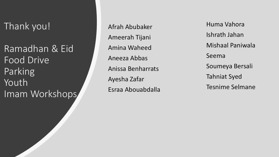Thank you!

Ramadhan & Eid Food Drive Parking Youth Imam Workshops Afrah Abubaker Ameerah Tijani Amina Waheed Aneeza Abbas Anissa Benharrats Ayesha Zafar Esraa Abouabdalla

Huma Vahora Ishrath Jahan Mishaal Paniwala Seema Soumeya Bersali Tahniat Syed Tesnime Selmane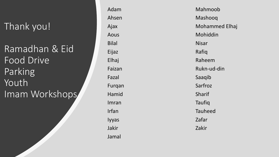#### Thank you!

Ramadhan & Eid Food Drive Parking Youth Imam Workshops Adam Ahsen Ajax Aous Bilal Eijaz Elhaj Faizan Fazal Furqan Hamid Imran Irfan Iyyas Jakir Jamal

Mahmoob Mashooq Mohammed Elhaj Mohiddin Nisar Rafiq Raheem Rukn -ud -din Saaqib Sarfroz Sharif Taufiq Tauheed Zafar Zakir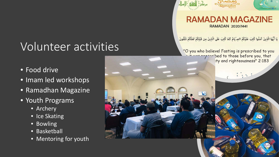# Volunteer activities

- Food drive
- Imam led workshops
- Ramadhan Magazine
- Youth Programs
	- Archery
	- Ice Skating
	- Bowling
	- Basketball
	- Mentoring for youth



#### **RAMADAN MAGAZINE RAMADAN 2020/1441**

يَا أَيُّهَا الَّذِينَ آمَذُوا كُتِبَ عَلَيْكُمُ الصِ ّيَامُ كَمَا كُتِبَ عَلَى الَّذِينَ مِن قَبْلِكُمْ لَعَلَّكُمْ تَتَّقُونَ

"O you who believe! Fasting is prescribed to you it was pregaribed to those before you, that ty and righteousness" 2:183

i grad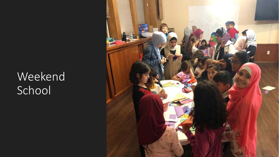# Weekend School

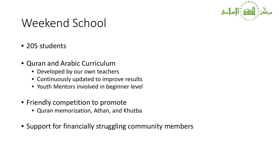

## Weekend School

- 205 students
- Quran and Arabic Curriculum
	- Developed by our own teachers
	- Continuously updated to improve results
	- Youth Mentors involved in beginner level
- Friendly competition to promote
	- Quran memorization, Athan, and Khutba
- Support for financially struggling community members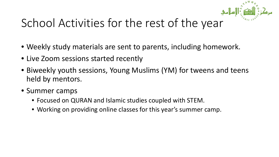

# School Activities for the rest of the year

- Weekly study materials are sent to parents, including homework.
- Live Zoom sessions started recently
- Biweekly youth sessions, Young Muslims (YM) for tweens and teens held by mentors.
- Summer camps
	- Focused on QURAN and Islamic studies coupled with STEM.
	- Working on providing online classes for this year's summer camp.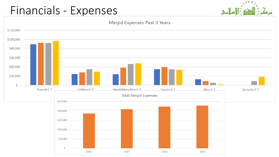## Financials - Expenses

\$-



AND BE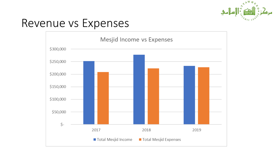

#### Revenue vs Expenses

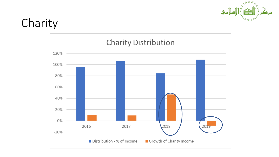

## Charity

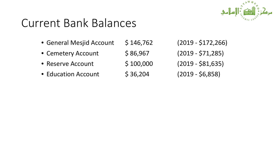#### Current Bank Balances

• General Mesjid Account \$ 146,762 (2019 - \$172,266) • Cemetery Account \$ 86,967 (2019 - \$71,285) • Reserve Account \$100,000 (2019 - \$81,635) • Education Account  $\binom{5}{36,204}$  (2019 - \$6,858)

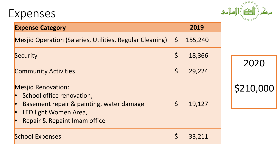#### Expenses



2020

\$210,000

| <b>Expense Category</b>                                                                                                                                                |             | 2019    |
|------------------------------------------------------------------------------------------------------------------------------------------------------------------------|-------------|---------|
| Mesjid Operation (Salaries, Utilities, Regular Cleaning)                                                                                                               | $\zeta$     | 155,240 |
| Security                                                                                                                                                               | $\varsigma$ | 18,366  |
| <b>Community Activities</b>                                                                                                                                            | $\varsigma$ | 29,224  |
| <b>Mesjid Renovation:</b><br>School office renovation,<br>Basement repair & painting, water damage<br>LED light Women Area,<br><b>Repair &amp; Repaint Imam office</b> | $\zeta$     | 19,127  |
| <b>School Expenses</b>                                                                                                                                                 | $\varsigma$ | 33,211  |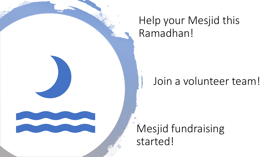## Help your Mesjid this Ramadhan!

#### Join a volunteer team!

#### Mesjid fundraising started!